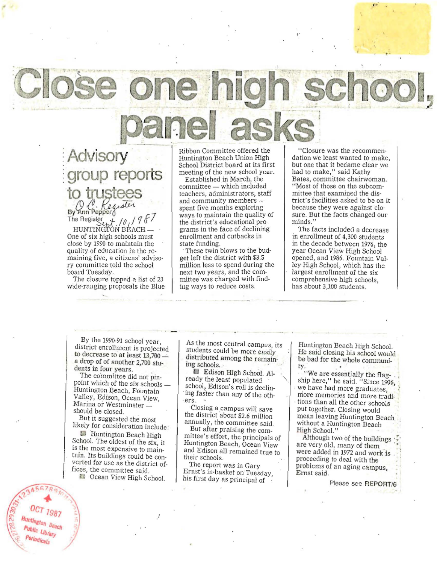**-Advisory**  -**group reports to** trustees

By Ann Pepper<br>The Register<br>HUNTINGTON BEACH One of six high schools must close by 1990 to maintain the quality of education in the re**maining five, a citizens' adviso**ry committee told the school board Tuesday.

The closure topped a list of 23 **wide·· ranging proposals the Blue**  Ribbon Committee offered the Huntington Beach Union High School District board at its first meeting of the new school year.

Established in March, the committee - which included teachers, administrators, staff and community members  $\sim$ spent five months exploring ways to maintain the quality of the district's educational programs in the face of declining enrollment and cutbacks in state funding.

These twin blows to the budget left the district with \$3.5 million less to spend during the next two years, and the committee' was charged with findiug ways to reduce costs.

"Closure was the recommen- dation w'e least wanted to make, but one that it became clear we had to make," said Kathy **Bates, committee chairwoman.**  "Most of those on the subcommittee that examined the district's facilities asked to be on it because they were against closure. But the facts changed our minds.'

"

 $\cdot$ 

 $\cdot$ 

The facts included a decrease in enrollment of 4,300 students in the decade betwecn 1976, the year Ocean View High School opened, and 1986. Fountain Valley Higb School, which has the largest enrollment of the six<br>comprehensive high schools. has about 3,100 students.

. <br>  $\label{eq:3}$ 

By the 1990-91 school year, district enrollment is projected to decrease to at least  $13,700$ a drop of of another 2,700 stu**dents ill fOUf years.** 

The committee did not pinpoint which of the six schools -Huntington Beach, Fountain Valley, Edison, Ocean View **Marina or Westminster** should be closed.

But it suggested the most likely for consideration include:

Huntington Beach High School. The oldest of the six, it<br>is the most expensive to maintain. Its buildings could be con- vcrted for use as the district offices, the committee said. **e** Ocean View High School.

l

**As the most central campus, its**  students could be more easily distributed among the remaining schools. .

Edison High School. Already the least populated school, Edison's roll is declining faster than any of the oth-

Closing a campus will save the district about \$2.6 million **annually, the committee said.** 

But after praising the committee's effort, the principals of Huntington Beach, Ocean View and Edison all remained true to their schools.

**The report was in Gary**  Ernst's in-basket on Tuesday, his first day as principal of

Huntington Beach High Schoo!. He said closing his school would be bad for the whole communi-

. "We are essentially the flagship here," he said. "Since 1906,  $i$ we have had more graduates, **mOre memones and more tradi** tions than all the other schools put together. Closing would mean leaving Huntington Beach without a Huntington Beach<br>High School."

Although two of the buildings are very old, many of them were added in 1972 and work is proceeding to deal with the problems of an aging campus, **Ernst** said.

Please see REPORT/6

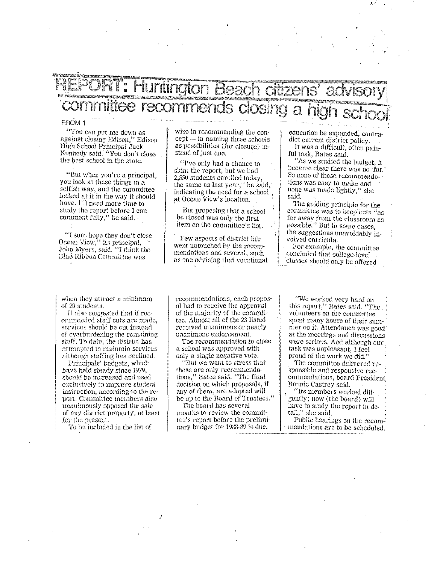## ) Sir

## FROM 1

"You can put me down as against closing Edison," Edison High School Principal Jack Kennedy said. "You don't close the best school in the state.

"But when you're a principal, you look at these things in a selfish way, and the committee looked at it in the way it should have. I'll need more time to study the report before I can comment fully," he said.

"I sure hope they don't close Ocean View," its principal, John Myers, said. "I think the Blue Ribbon Committee was

wise in recommending the con $cept$  — in naming three schools as possibilities (for closure) instead of just one.

"I've only had a chance to skim the report, but we had 2.550 students enrolled today, the same as last year," he said, indicating the need for a school at Ocean View's location.

But proposing that a school be closed was only the first item on the committee's list.

Few aspects of district life went untouched by the recommendations and several, such as one advising that vocational education be expanded, contradict current district policy. It was a difficult, often painful task, Bates said.

"As we studied the budget, it became clear there was no 'fat.' So none of these recommendations was easy to make and none was made lightly." she said.

The guiding principle for the committee was to keep cuts "as far away from the classroom as possible." But in some cases, the suggestions unavoidably involved curricula.

For example, the committee concluded that college-level classes should only be offered

when they attract a minimum of 20 students.

It also suggested that if recommended staff cuts are made, services should be cut instead of overburdening the remaining staff. To date, the district has attempted to maintain services although staffing has declined.

Principals' budgets, which have held steady since 1979, should be increased and used exclusively to improve student instruction, according to the report. Committee members also unanimously opposed the sale of any district property, at least for the present.

To be included in the list of

recommendations, each proposal had to receive the approval of the majority of the committee. Almost all of the 23 listed received unanimous or nearly unanimous endorsement.

The recommendation to close a school was approved with only a single negative vote.

"But we want to stress that these are only recommendations," Bates said. "The final decision on which proposals, if any of them, are adopted will be up to the Board of Trustees."

The board has several months to review the committee's report before the preliminary budget for 1988-89 is due.

"We worked very hard on this report," Bates said. "The volunteers on the committee spent many hours of their summer on it. Attendance was good at the meetings and discussions were serious. And although our task was unpleasant. I feel proud of the work we did."

The committee delivered responsible and responsive recommendations, board President Bounie Castrey said.

"Its members worked diligently; now (the board) will have to study the report in detail," she said.

Public hearings on the recommendations are to be scheduled.